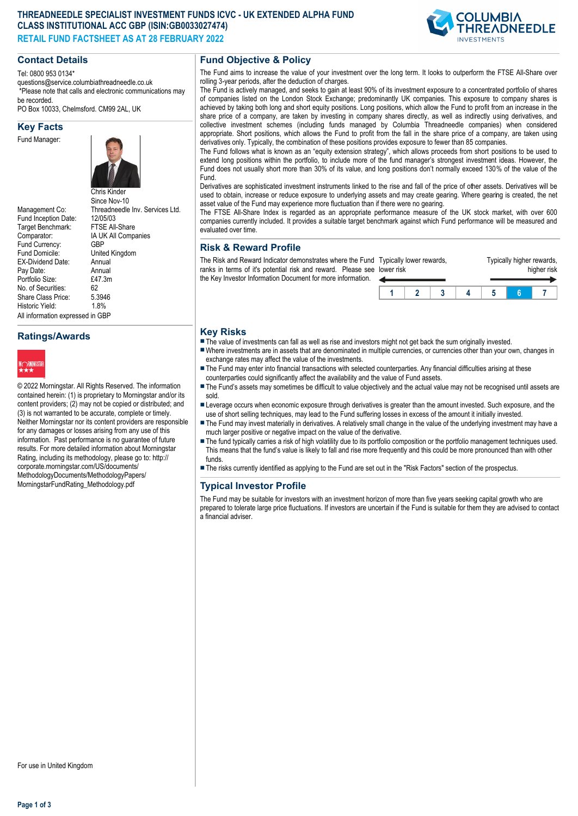## **THREADNEEDLE SPECIALIST INVESTMENT FUNDS ICVC - UK EXTENDED ALPHA FUND CLASS INSTITUTIONAL ACC GBP (ISIN:GB0033027474) RETAIL FUND FACTSHEET AS AT 28 FEBRUARY 2022**



## **Contact Details**

Tel: 0800 953 0134\*

questions@service.columbiathreadneedle.co.uk \*Please note that calls and electronic communications may be recorded.

PO Box 10033, Chelmsford. CM99 2AL, UK

#### **Key Facts**

Fund Manager:



Since Nov-10 Management Co: Threadneedle Inv. Services Ltd.<br>Fund Inception Date: 12/05/03 Fund Inception Date: 12/05/03<br>Target Benchmark: FTSF All-Share Target Benchmark: Comparator: IA UK All Companies<br>Fund Currency: GBP Fund Currency: GBP<br>Fund Domicile: United Kingdom Fund Domicile: United<br>EX-Dividend Date: Annual EX-Dividend Date: Annual<br>Pay Date: Annual Pay Date: Annual<br>Portfolio Size: £47.3m Portfolio Size: E4<br>No. of Securities: 62 No. of Securities: 62<br>Share Class Price: 5.3946 Share Class Price: 5.394<br>Historic Vield: 1.8% Historic Yield: All information expressed in GBP

## **Ratings/Awards**



© 2022 Morningstar. All Rights Reserved. The information contained herein: (1) is proprietary to Morningstar and/or its content providers; (2) may not be copied or distributed; and (3) is not warranted to be accurate, complete or timely. Neither Morningstar nor its content providers are responsible for any damages or losses arising from any use of this information. Past performance is no guarantee of future results. For more detailed information about Morningstar Rating, including its methodology, please go to: http:// corporate.morningstar.com/US/documents/ MethodologyDocuments/MethodologyPapers/ MorningstarFundRating\_Methodology.pdf

## **Fund Objective & Policy**

The Fund aims to increase the value of your investment over the long term. It looks to outperform the FTSE All-Share over rolling 3-year periods, after the deduction of charges.

The Fund is actively managed, and seeks to gain at least 90% of its investment exposure to a concentrated portfolio of shares of companies listed on the London Stock Exchange; predominantly UK companies. This exposure to company shares is achieved by taking both long and short equity positions. Long positions, which allow the Fund to profit from an increase in the share price of a company, are taken by investing in company shares directly, as well as indirectly using derivatives, and collective investment schemes (including funds managed by Columbia Threadneedle companies) when considered appropriate. Short positions, which allows the Fund to profit from the fall in the share price of a company, are taken using derivatives only. Typically, the combination of these positions provides exposure to fewer than 85 companies.

The Fund follows what is known as an "equity extension strategy", which allows proceeds from short positions to be used to extend long positions within the portfolio, to include more of the fund manager's strongest investment ideas. However, the Fund does not usually short more than 30% of its value, and long positions don't normally exceed 130% of the value of the Fund.

Derivatives are sophisticated investment instruments linked to the rise and fall of the price of other assets. Derivatives will be used to obtain, increase or reduce exposure to underlying assets and may create gearing. Where gearing is created, the net asset value of the Fund may experience more fluctuation than if there were no gearing.

The FTSE All-Share Index is regarded as an appropriate performance measure of the UK stock market, with over 600 companies currently included. It provides a suitable target benchmark against which Fund performance will be measured and evaluated over time.

#### **Risk & Reward Profile**

The Risk and Reward Indicator demonstrates where the Fund Ty ranks in terms of it's potential risk and reward. Please see the Key Investor Information Document for more information. lower risk

| lower risk | Typically lower rewards, |  | Typically higher rewards, | higher risk |  |
|------------|--------------------------|--|---------------------------|-------------|--|
|            |                          |  |                           |             |  |

## **Key Risks**

- $\blacksquare$  The value of investments can fall as well as rise and investors might not get back the sum originally invested. nWhere investments are in assets that are denominated in multiple currencies, or currencies other than your own, changes in
- exchange rates may affect the value of the investments.
- n The Fund may enter into financial transactions with selected counterparties. Any financial difficulties arising at these counterparties could significantly affect the availability and the value of Fund assets.
- The Fund's assets may sometimes be difficult to value objectively and the actual value may not be recognised until assets are sold.
- n Leverage occurs when economic exposure through derivatives is greater than the amount invested. Such exposure, and the use of short selling techniques, may lead to the Fund suffering losses in excess of the amount it initially invested.
- The Fund may invest materially in derivatives. A relatively small change in the value of the underlying investment may have a much larger positive or negative impact on the value of the derivative.
- The fund typically carries a risk of high volatility due to its portfolio composition or the portfolio management techniques used. This means that the fund's value is likely to fall and rise more frequently and this could be more pronounced than with other funds.
- n The risks currently identified as applying to the Fund are set out in the "Risk Factors" section of the prospectus.

#### **Typical Investor Profile**

The Fund may be suitable for investors with an investment horizon of more than five years seeking capital growth who are prepared to tolerate large price fluctuations. If investors are uncertain if the Fund is suitable for them they are advised to contact a financial adviser.

For use in United Kingdom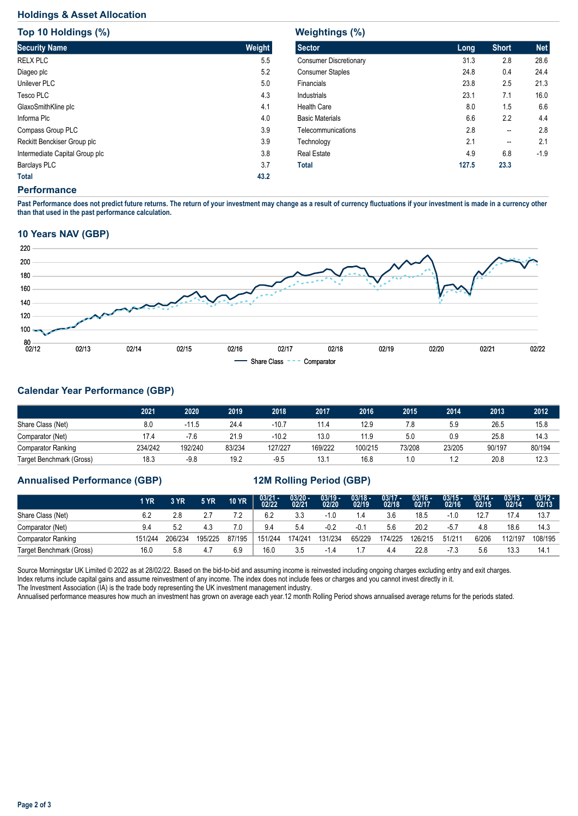# **Holdings & Asset Allocation**

| Top 10 Holdings (%)            |        | <b>Weightings (%)</b>         |       |                          |            |  |  |  |  |
|--------------------------------|--------|-------------------------------|-------|--------------------------|------------|--|--|--|--|
| <b>Security Name</b>           | Weight | <b>Sector</b>                 | Long  | <b>Short</b>             | <b>Net</b> |  |  |  |  |
| <b>RELX PLC</b>                | 5.5    | <b>Consumer Discretionary</b> | 31.3  | 2.8                      | 28.6       |  |  |  |  |
| Diageo plc                     | 5.2    | <b>Consumer Staples</b>       | 24.8  | 0.4                      | 24.4       |  |  |  |  |
| Unilever PLC                   | 5.0    | Financials                    | 23.8  | 2.5                      | 21.3       |  |  |  |  |
| Tesco PLC                      | 4.3    | Industrials                   | 23.1  | 7.1                      | 16.0       |  |  |  |  |
| GlaxoSmithKline plc            | 4.1    | <b>Health Care</b>            | 8.0   | 1.5                      | 6.6        |  |  |  |  |
| Informa Plc                    | 4.0    | <b>Basic Materials</b>        | 6.6   | 2.2                      | 4.4        |  |  |  |  |
| Compass Group PLC              | 3.9    | Telecommunications            | 2.8   | $\overline{\phantom{a}}$ | 2.8        |  |  |  |  |
| Reckitt Benckiser Group plc    | 3.9    | Technology                    | 2.1   | $\overline{\phantom{a}}$ | 2.1        |  |  |  |  |
| Intermediate Capital Group plc | 3.8    | <b>Real Estate</b>            | 4.9   | 6.8                      | $-1.9$     |  |  |  |  |
| Barclays PLC                   | 3.7    | <b>Total</b>                  | 127.5 | 23.3                     |            |  |  |  |  |
| Total                          | 43.2   |                               |       |                          |            |  |  |  |  |
| _ _                            |        |                               |       |                          |            |  |  |  |  |

### **Performance**

**Past Performance does not predict future returns. The return of your investment may change as a result of currency fluctuations if your investment is made in a currency other than that used in the past performance calculation.** 

#### **10 Years NAV (GBP)**



# **Calendar Year Performance (GBP)**

|                           | 2021    | 2020    | 2019   | 2018    | 2017    | 2016    | 2015   | 2014    | 2013   | 2012   |
|---------------------------|---------|---------|--------|---------|---------|---------|--------|---------|--------|--------|
| Share Class (Net)         | 8.0     | $-11.5$ | 24.4   | $-10.7$ | 11.4    | 12.9    | 7.8    | 5.9     | 26.5   | 15.8   |
| Comparator (Net)          | 17.4    | $-7.6$  | 21.9   | $-10.2$ | 13.0    | 11.9    | 5.0    | 0.9     | 25.8   | 14.3   |
| <b>Comparator Ranking</b> | 234/242 | 192/240 | 83/234 | 127/227 | 169/222 | 100/215 | 73/208 | 23/205  | 90/197 | 80/194 |
| Target Benchmark (Gross)  | 18.3    | $-9.8$  | 19.2   | $-9.5$  | 13.1    | 16.8    | 0. ا   | 12<br>. | 20.8   | 12.3   |

# **Annualised Performance (GBP) 12M Rolling Period (GBP)**

|                          | 1 YR            | 3 YR    | <b>5 YR</b> | <b>10 YR</b> | $\frac{03/21}{02/22}$ | $\frac{03/20 - 0.21}{02/21}$ | $\frac{03/19 - 03/20}{02/20}$ | $03/18 -$<br>02/19 | $03/17 -$<br>02/18 | $03/16 -$<br>02/17 | $03/15 -$<br>02/16 | $03/14 -$<br>02/15 | $03/13 -$<br>02/14 | $03/12 -$<br>02/13 |
|--------------------------|-----------------|---------|-------------|--------------|-----------------------|------------------------------|-------------------------------|--------------------|--------------------|--------------------|--------------------|--------------------|--------------------|--------------------|
| Share Class (Net)        | 6.2             | 2.8     | 2.7         | 7.2          | 6.2                   | 3.3                          |                               | $\cdot$            | 3.6                | 18.5               | -1.0               | 12.7               | 17.4               | 13.7               |
| Comparator (Net)         | 9.4             | 5.2     | 4.3         | 7.0          | 9.4                   | 5.4                          | $-0.2$                        | -0.1               | 5.6                | 20.2               | -5.7               | 4.8                | 18.6               | 14.3               |
| Comparator Ranking       | 151/244         | 206/234 | 195/225     | 87/195       | 151/244               | 174/241                      | 131/234                       | 65/229             | 174/225            | 26/215             | 51/211             | 6/206              | 112/197            | 108/195            |
| Target Benchmark (Gross) | 16 <sub>c</sub> | 5.8     | 4.7         | 6.9          | 16.0                  | 3.5                          |                               |                    | 4.4                | 22.8               | $-7.3$             | 5.6                | 13.3               | 14.1               |

Source Morningstar UK Limited @ 2022 as at 28/02/22. Based on the bid-to-bid and assuming income is reinvested including ongoing charges excluding entry and exit charges. Index returns include capital gains and assume reinvestment of any income. The index does not include fees or charges and you cannot invest directly in it. The Investment Association (IA) is the trade body representing the UK investment management industry.

Annualised performance measures how much an investment has grown on average each year.12 month Rolling Period shows annualised average returns for the periods stated.